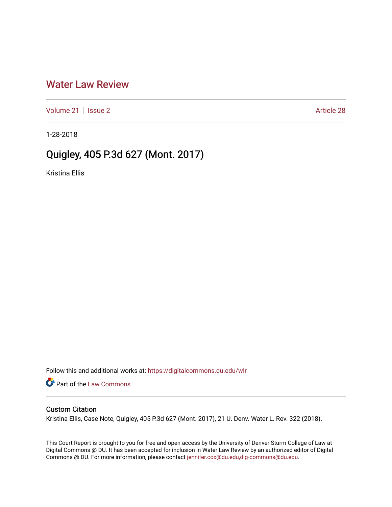## [Water Law Review](https://digitalcommons.du.edu/wlr)

[Volume 21](https://digitalcommons.du.edu/wlr/vol21) | [Issue 2](https://digitalcommons.du.edu/wlr/vol21/iss2) Article 28

1-28-2018

## Quigley, 405 P.3d 627 (Mont. 2017)

Kristina Ellis

Follow this and additional works at: [https://digitalcommons.du.edu/wlr](https://digitalcommons.du.edu/wlr?utm_source=digitalcommons.du.edu%2Fwlr%2Fvol21%2Fiss2%2F28&utm_medium=PDF&utm_campaign=PDFCoverPages) 

**Part of the [Law Commons](http://network.bepress.com/hgg/discipline/578?utm_source=digitalcommons.du.edu%2Fwlr%2Fvol21%2Fiss2%2F28&utm_medium=PDF&utm_campaign=PDFCoverPages)** 

## Custom Citation

Kristina Ellis, Case Note, Quigley, 405 P.3d 627 (Mont. 2017), 21 U. Denv. Water L. Rev. 322 (2018).

This Court Report is brought to you for free and open access by the University of Denver Sturm College of Law at Digital Commons @ DU. It has been accepted for inclusion in Water Law Review by an authorized editor of Digital Commons @ DU. For more information, please contact [jennifer.cox@du.edu,dig-commons@du.edu.](mailto:jennifer.cox@du.edu,dig-commons@du.edu)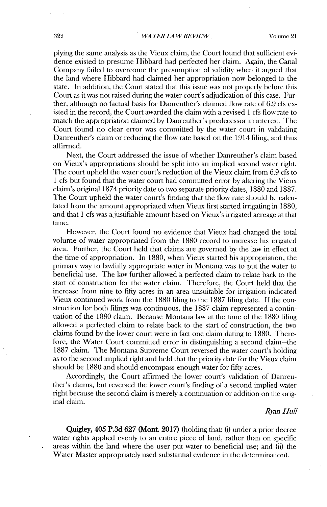plying the same analysis as the Vieux claim, the Court found that sufficient evidence existed to presume Hibbard had perfected her claim. Again, the Canal Company failed to overcome the presumption of validity when it argued that the land where Hibbard had claimed her appropriation now belonged to the state. In addition, the Court stated that this issue was not properly before this Court as it was not raised during the water court's adjudication of this case. Further, although no factual basis for Danreuther's claimed flow rate of **6.9** cfs existed in the record, the Court awarded the claim with a revised 1 cfs flow rate to match the appropriation claimed **by** Danreuther's predecessor in interest. The Court found no clear error was committed **by** the water court in validating Danreuther's claim or reducing the flow rate based on the 1914 filing, and thus affirmed.

Next, the Court addressed the issue of whether Danreuther's claim based on Vieux's appropriations should be split into an implied second water right. The court upheld the water court's reduction of the Vieux claim from **6.9** cfs to 1 cfs but found that the water court had committed error **by** altering the Vieux claim's original **1874** priority date to two separate priority dates, **1880** and **1887.** The Court upheld the water court's finding that the flow rate should be calculated from the amount appropriated when Vieux first started irrigating in **1880,** and that 1 cfs was ajustifiable amount based on Vieux's irrigated acreage at that time.

However, the Court found no evidence that Vieux had changed the total volume of water appropriated from the **1880** record to increase his irrigated area. Further, the Court held that claims are governed **by** the law in effect at the time of appropriation. In **1880,** when Vieux started his appropriation, the primary way to lawfully appropriate water in Montana was to put the water to beneficial use. The law further allowed a perfected claim to relate back to the start of construction for the water claim. Therefore, the Court held that the increase from nine to fifty acres in an area unsuitable **for** irrigation indicated Vieux continued work from the **1880** filing to the **1887** filing date. **If** the construction for both filings was continuous, the **1887** claim represented a continuation of the **1880** claim. Because Montana law at the time of the **1880** filing allowed a perfected claim to relate back to the start of construction, the two claims found **by** the lower court were in fact one claim dating to **1880.** Therefore, the Water Court committed error in distinguishing a second claim-the **1887** claim. The Montana Supreme Court reversed the water court's holding as to the second implied right and **held** that the priority date for the Vieux claim should be **1880** and should encompass enough water for fifty acres.

Accordingly, the Court affirmed the lower court's validation of Danreuther's claims, but reversed the lower court's finding of a second implied water right because the second claim is merely a continuation or addition on the original claim.

## *Ryan Hull*

**Quigley,** *405* **P.3d 627** (Mont. **2017)** (holding that: **(i)** under a prior decree water rights applied evenly to an entire piece of land, rather than on specific areas within the land where the user put water to beneficial use; and **(ii)** the Water Master appropriately used substantial evidence in the determination).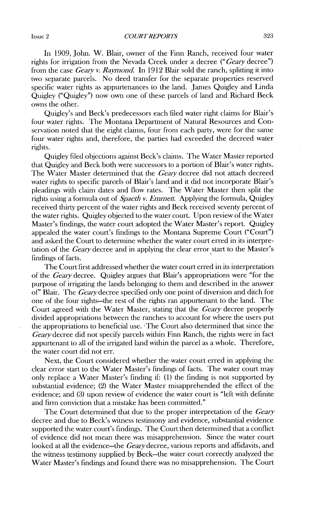*COURT REPORTS* Issue 2 **323**

In **1909,** John. W. Blair, owner of the Finn Ranch, received four water rights for irrigation from the Nevada Creek under a decree *("Geary* decree") from the case *Geary v. Raymond* In **1912** Blair sold the ranch, splitting it into two separate parcels. No deed transfer for the separate properties reserved specific water rights as appurtenances to the land. James Quigley and Linda Quigley ("Quigley") now own one of these parcels of land and Richard Beck owns the other.

Quigley's and Beck's predecessors each filed water right claims for Blair's four water rights. The Montana Department of Natural Resources and Conservation noted that the eight claims, four from each party, were for the same four water rights and, therefore, the parties had exceeded the decreed water rights.

Quigley filed objections against Beck's claims. The Water Master reported that Quigley and Beck both were successors to a portion of Blair's water rights. The Water Master determined that the *Geaiy* decree **did** not attach decreed water rights to specific parcels of Blair's land and it **did** not incorporate Blair's pleadings **with** claim dates and flow rates. The Water Master then split the rights using a formula out of *Spaeth v. Emmett.* Applying the formula, Quigley received thirty percent of the water rights and Beck received seventy percent of the water rights. Quigley objected to the water court. Upon review of the Water Master's findings, the water court adopted the Water Master's report. Quigley appealed the water court's findings to the Montana Supreme Court ("Court") and asked the Court to determine whether the water court erred in its mterpretation of the *Geary* decree and in applying the clear error start to the Master's findings of facts.

The Court first addressed whether the water court erred in its interpretation of the *Geary* decree. Quigley argues that Blair's appropriations were "for the purpose of irrigating the lands belonging to them and described in the answer of" Blair. The *Geary* decree specified only one point of diversion and ditch for one of the four rights-the rest of the rights ran appurtenant to the land. The Court agreed with the Water Master, stating that the *Geary* decree properly divided appropriations between the ranches to account for where **the** users put the appropriations to beneficial use. -The Court also determined that since the *Geaiy* decree **did** not specify parcels within Finn Ranch, the rights were in fact appurtenant to all of the irrigated land within the parcel as a whole. Therefore, the water court **did** not err.

Next, the Court considered whether the water court erred in applying the clear error start to **the** Water Master's findings of facts. The water court may only replace a Water Master's finding if: **(1)** the finding is not supported **by** substantial evidence; (2) the Water Master misapprehended the effect of the evidence; and **(3)** upon review of evidence the water court is "left **with** definite and firm conviction that a mistake has been committed."

The Court determined that due to the proper interpretation of the *Geary* decree and due to Beck's witness testimony and evidence, substantial evidence supported the water court's findings. The Court then determined that a conflict of evidence **did** not mean there was misapprehension. Since the water court looked at all the evidence-the *Geary* decree, various reports and affidavits, and the witness testimony supplied **by** Beck-the water court correctly analyzed the Water Master's findings and found there was no misapprehension. The Court